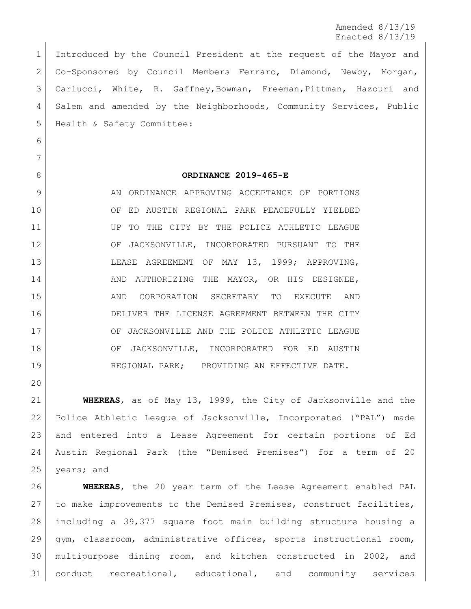Amended 8/13/19 Enacted 8/13/19

 Introduced by the Council President at the request of the Mayor and Co-Sponsored by Council Members Ferraro, Diamond, Newby, Morgan, Carlucci, White, R. Gaffney,Bowman, Freeman,Pittman, Hazouri and Salem and amended by the Neighborhoods, Community Services, Public 5 | Health & Safety Committee:

# 

### 

#### **ORDINANCE 2019-465-E**

9 AN ORDINANCE APPROVING ACCEPTANCE OF PORTIONS OF ED AUSTIN REGIONAL PARK PEACEFULLY YIELDED 11 UP TO THE CITY BY THE POLICE ATHLETIC LEAGUE OF JACKSONVILLE, INCORPORATED PURSUANT TO THE LEASE AGREEMENT OF MAY 13, 1999; APPROVING, 14 AND AUTHORIZING THE MAYOR, OR HIS DESIGNEE, AND CORPORATION SECRETARY TO EXECUTE AND DELIVER THE LICENSE AGREEMENT BETWEEN THE CITY 17 OF JACKSONVILLE AND THE POLICE ATHLETIC LEAGUE 18 OF JACKSONVILLE, INCORPORATED FOR ED AUSTIN REGIONAL PARK; PROVIDING AN EFFECTIVE DATE.

 **WHEREAS**, as of May 13, 1999, the City of Jacksonville and the Police Athletic League of Jacksonville, Incorporated ("PAL") made and entered into a Lease Agreement for certain portions of Ed Austin Regional Park (the "Demised Premises") for a term of 20 years; and

 **WHEREAS**, the 20 year term of the Lease Agreement enabled PAL to make improvements to the Demised Premises, construct facilities, including a 39,377 square foot main building structure housing a gym, classroom, administrative offices, sports instructional room, multipurpose dining room, and kitchen constructed in 2002, and conduct recreational, educational, and community services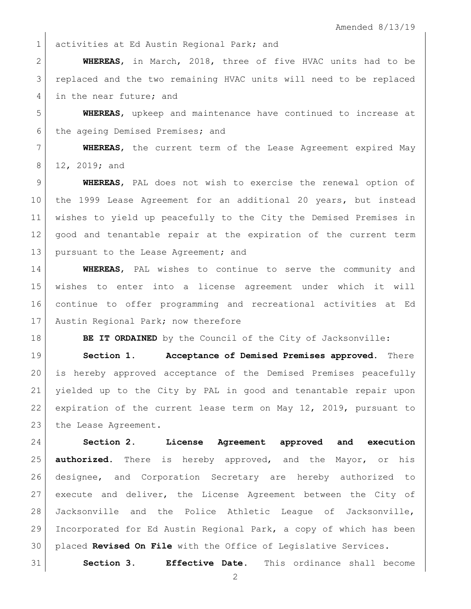1 activities at Ed Austin Regional Park; and

 **WHEREAS**, in March, 2018, three of five HVAC units had to be replaced and the two remaining HVAC units will need to be replaced 4 in the near future; and

 **WHEREAS**, upkeep and maintenance have continued to increase at 6 the ageing Demised Premises; and

 **WHEREAS**, the current term of the Lease Agreement expired May 8 12, 2019; and

 **WHEREAS**, PAL does not wish to exercise the renewal option of the 1999 Lease Agreement for an additional 20 years, but instead wishes to yield up peacefully to the City the Demised Premises in good and tenantable repair at the expiration of the current term 13 | pursuant to the Lease Agreement; and

 **WHEREAS**, PAL wishes to continue to serve the community and wishes to enter into a license agreement under which it will continue to offer programming and recreational activities at Ed 17 Austin Regional Park; now therefore

**BE IT ORDAINED** by the Council of the City of Jacksonville:

 **Section 1. Acceptance of Demised Premises approved.** There is hereby approved acceptance of the Demised Premises peacefully yielded up to the City by PAL in good and tenantable repair upon expiration of the current lease term on May 12, 2019, pursuant to 23 the Lease Agreement.

 **Section 2. License Agreement approved and execution authorized.** There is hereby approved, and the Mayor, or his designee, and Corporation Secretary are hereby authorized to execute and deliver, the License Agreement between the City of Jacksonville and the Police Athletic League of Jacksonville, Incorporated for Ed Austin Regional Park, a copy of which has been placed **Revised On File** with the Office of Legislative Services.

**Section 3. Effective Date.** This ordinance shall become